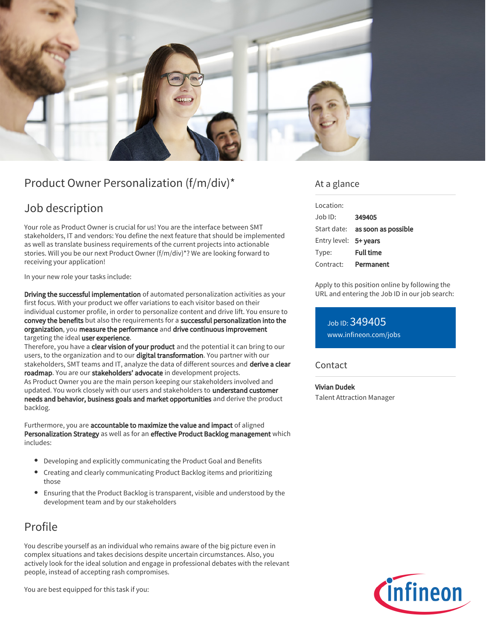

# Product Owner Personalization (f/m/div)\*

## Job description

Your role as Product Owner is crucial for us! You are the interface between SMT stakeholders, IT and vendors: You define the next feature that should be implemented as well as translate business requirements of the current projects into actionable stories. Will you be our next Product Owner (f/m/div)\*? We are looking forward to receiving your application!

In your new role your tasks include:

Driving the successful implementation of automated personalization activities as your first focus. With your product we offer variations to each visitor based on their individual customer profile, in order to personalize content and drive lift. You ensure to convey the benefits but also the requirements for a successful personalization into the organization, you measure the performance and drive continuous improvement targeting the ideal user experience.

Therefore, you have a clear vision of your product and the potential it can bring to our users, to the organization and to our digital transformation. You partner with our stakeholders, SMT teams and IT, analyze the data of different sources and derive a clear roadmap. You are our stakeholders' advocate in development projects.

As Product Owner you are the main person keeping our stakeholders involved and updated. You work closely with our users and stakeholders to understand customer needs and behavior, business goals and market opportunities and derive the product backlog.

Furthermore, you are accountable to maximize the value and impact of aligned Personalization Strategy as well as for an effective Product Backlog management which includes:

- Developing and explicitly communicating the Product Goal and Benefits
- Creating and clearly communicating Product Backlog items and prioritizing those
- Ensuring that the Product Backlog is transparent, visible and understood by the development team and by our stakeholders

# Profile

You describe yourself as an individual who remains aware of the big picture even in complex situations and takes decisions despite uncertain circumstances. Also, you actively look for the ideal solution and engage in professional debates with the relevant people, instead of accepting rash compromises.

You are best equipped for this task if you:

### At a glance

| Location:             |                                 |
|-----------------------|---------------------------------|
| $Joh$ ID:             | 349405                          |
|                       | Start date: as soon as possible |
| Entry level: 5+ years |                                 |
| Type:                 | <b>Full time</b>                |
| Contract:             | Permanent                       |

Apply to this position online by following the URL and entering the Job ID in our job search:

Job ID: 349405 [www.infineon.com/jobs](https://www.infineon.com/jobs)

### **Contact**

Vivian Dudek

Talent Attraction Manager